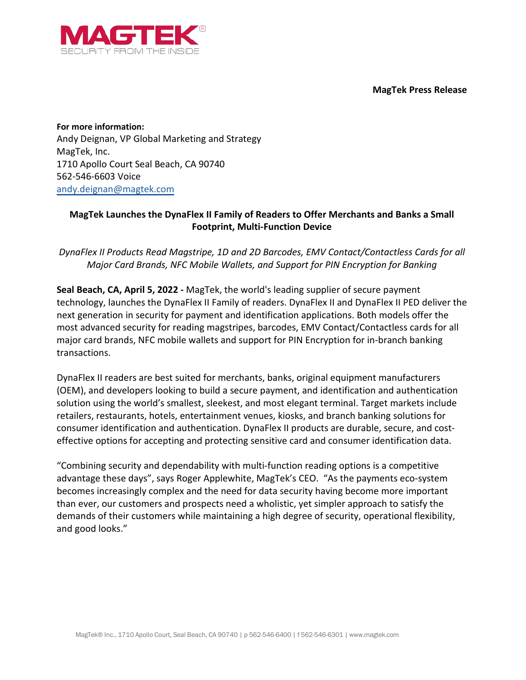**MagTek Press Release**



**For more information:** Andy Deignan, VP Global Marketing and Strategy MagTek, Inc. 1710 Apollo Court Seal Beach, CA 90740 562-546-6603 Voice [andy.deignan@magtek.com](mailto:andy.deignan@magtek.com)

## **MagTek Launches the DynaFlex II Family of Readers to Offer Merchants and Banks a Small Footprint, Multi-Function Device**

*DynaFlex II Products Read Magstripe, 1D and 2D Barcodes, EMV Contact/Contactless Cards for all Major Card Brands, NFC Mobile Wallets, and Support for PIN Encryption for Banking*

**Seal Beach, CA, April 5, 2022 -** MagTek, the world's leading supplier of secure payment technology, launches the DynaFlex II Family of readers. DynaFlex II and DynaFlex II PED deliver the next generation in security for payment and identification applications. Both models offer the most advanced security for reading magstripes, barcodes, EMV Contact/Contactless cards for all major card brands, NFC mobile wallets and support for PIN Encryption for in-branch banking transactions.

DynaFlex II readers are best suited for merchants, banks, original equipment manufacturers (OEM), and developers looking to build a secure payment, and identification and authentication solution using the world's smallest, sleekest, and most elegant terminal. Target markets include retailers, restaurants, hotels, entertainment venues, kiosks, and branch banking solutions for consumer identification and authentication. DynaFlex II products are durable, secure, and costeffective options for accepting and protecting sensitive card and consumer identification data.

"Combining security and dependability with multi-function reading options is a competitive advantage these days", says Roger Applewhite, MagTek's CEO. "As the payments eco-system becomes increasingly complex and the need for data security having become more important than ever, our customers and prospects need a wholistic, yet simpler approach to satisfy the demands of their customers while maintaining a high degree of security, operational flexibility, and good looks."